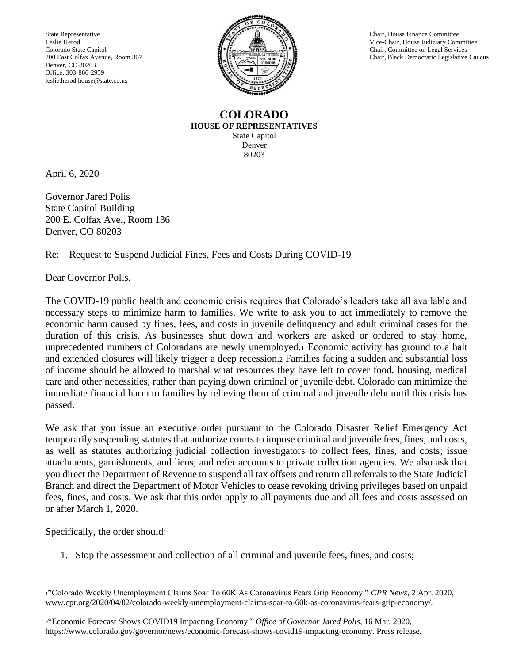State Representative Chair, House Finance Committee Leslie Herod Vice-Chair, House Finance Committee Colorado State Capitol Chair, Committee on Legal Services<br>
200 East Colfax Avenue, Room 307 (200 East Colfax Avenue, Room 307 (200 East Colfax Avenue, Room 307 (200 East Colfax Avenue, Room 307 Denver, CO 80203 Office: 303-866-2959 leslie.herod.house@state.co.us



Vice-Chair, House Judiciary Committee Chair, Black Democratic Legislative Caucus

## **COLORADO HOUSE OF REPRESENTATIVES** State Capitol Denver 80203

April 6, 2020

Governor Jared Polis State Capitol Building 200 E. Colfax Ave., Room 136 Denver, CO 80203

Re: Request to Suspend Judicial Fines, Fees and Costs During COVID-19

Dear Governor Polis,

The COVID-19 public health and economic crisis requires that Colorado's leaders take all available and necessary steps to minimize harm to families. We write to ask you to act immediately to remove the economic harm caused by fines, fees, and costs in juvenile delinquency and adult criminal cases for the duration of this crisis. As businesses shut down and workers are asked or ordered to stay home, unprecedented numbers of Coloradans are newly unemployed.<sup>1</sup> Economic activity has ground to a halt and extended closures will likely trigger a deep recession.<sup>2</sup> Families facing a sudden and substantial loss of income should be allowed to marshal what resources they have left to cover food, housing, medical care and other necessities, rather than paying down criminal or juvenile debt. Colorado can minimize the immediate financial harm to families by relieving them of criminal and juvenile debt until this crisis has passed.

We ask that you issue an executive order pursuant to the Colorado Disaster Relief Emergency Act temporarily suspending statutes that authorize courts to impose criminal and juvenile fees, fines, and costs, as well as statutes authorizing judicial collection investigators to collect fees, fines, and costs; issue attachments, garnishments, and liens; and refer accounts to private collection agencies. We also ask that you direct the Department of Revenue to suspend all tax offsets and return all referrals to the State Judicial Branch and direct the Department of Motor Vehicles to cease revoking driving privileges based on unpaid fees, fines, and costs. We ask that this order apply to all payments due and all fees and costs assessed on or after March 1, 2020.

Specifically, the order should:

1. Stop the assessment and collection of all criminal and juvenile fees, fines, and costs;

<sup>1</sup>"Colorado Weekly Unemployment Claims Soar To 60K As Coronavirus Fears Grip Economy." *CPR News*, 2 Apr. 2020, www.cpr.org/2020/04/02/colorado-weekly-unemployment-claims-soar-to-60k-as-coronavirus-fears-grip-economy/.

<sup>2</sup>"Economic Forecast Shows COVID19 Impacting Economy." *Office of Governor Jared Polis*, 16 Mar. 2020, https://www.colorado.gov/governor/news/economic-forecast-shows-covid19-impacting-economy. Press release.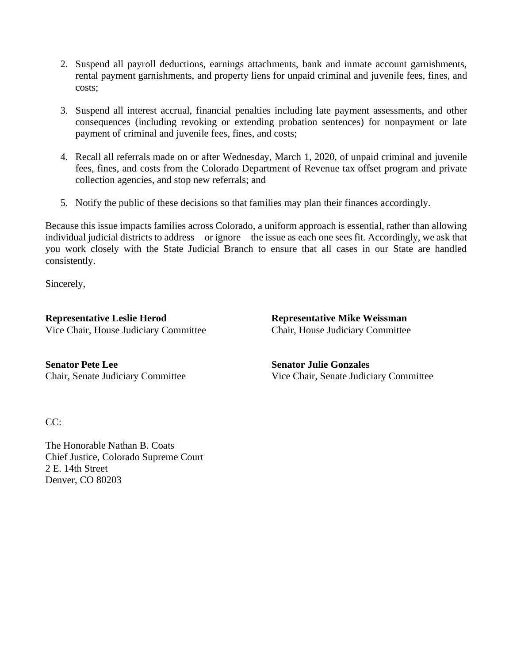- 2. Suspend all payroll deductions, earnings attachments, bank and inmate account garnishments, rental payment garnishments, and property liens for unpaid criminal and juvenile fees, fines, and costs;
- 3. Suspend all interest accrual, financial penalties including late payment assessments, and other consequences (including revoking or extending probation sentences) for nonpayment or late payment of criminal and juvenile fees, fines, and costs;
- 4. Recall all referrals made on or after Wednesday, March 1, 2020, of unpaid criminal and juvenile fees, fines, and costs from the Colorado Department of Revenue tax offset program and private collection agencies, and stop new referrals; and
- 5. Notify the public of these decisions so that families may plan their finances accordingly.

Because this issue impacts families across Colorado, a uniform approach is essential, rather than allowing individual judicial districts to address—or ignore—the issue as each one sees fit. Accordingly, we ask that you work closely with the State Judicial Branch to ensure that all cases in our State are handled consistently.

Sincerely,

**Representative Leslie Herod** Vice Chair, House Judiciary Committee **Representative Mike Weissman** Chair, House Judiciary Committee

**Senator Pete Lee** Chair, Senate Judiciary Committee **Senator Julie Gonzales** Vice Chair, Senate Judiciary Committee

 $CC:$ 

The Honorable Nathan B. Coats Chief Justice, Colorado Supreme Court 2 E. 14th Street Denver, CO 80203